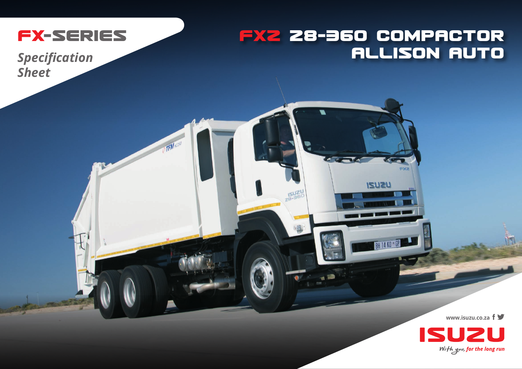

TFMNC250

## **FXZ 28-360 COMPACTOR ALLISON AUTO**

**FIXE** 

**ISUZU** 

**BH 14 KD - GF** 

**Specification Sheet** 

www.isuzu.co.za f